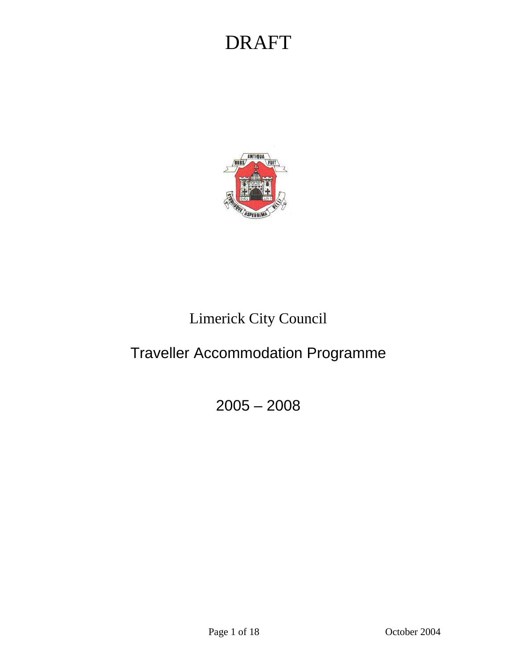

### Limerick City Council

### Traveller Accommodation Programme

2005 – 2008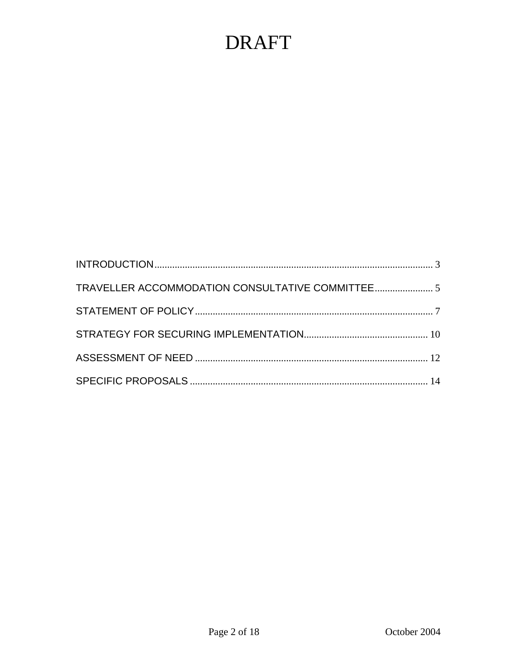| TRAVELLER ACCOMMODATION CONSULTATIVE COMMITTEE 5 |  |
|--------------------------------------------------|--|
|                                                  |  |
|                                                  |  |
|                                                  |  |
|                                                  |  |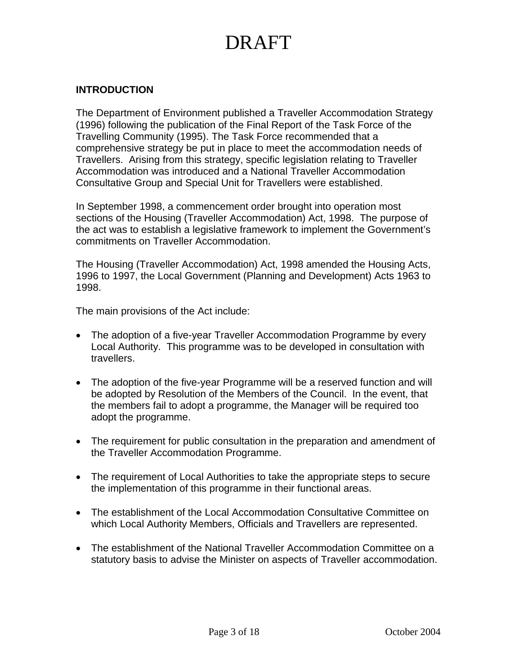#### <span id="page-2-0"></span>**INTRODUCTION**

The Department of Environment published a Traveller Accommodation Strategy (1996) following the publication of the Final Report of the Task Force of the Travelling Community (1995). The Task Force recommended that a comprehensive strategy be put in place to meet the accommodation needs of Travellers. Arising from this strategy, specific legislation relating to Traveller Accommodation was introduced and a National Traveller Accommodation Consultative Group and Special Unit for Travellers were established.

In September 1998, a commencement order brought into operation most sections of the Housing (Traveller Accommodation) Act, 1998. The purpose of the act was to establish a legislative framework to implement the Government's commitments on Traveller Accommodation.

The Housing (Traveller Accommodation) Act, 1998 amended the Housing Acts, 1996 to 1997, the Local Government (Planning and Development) Acts 1963 to 1998.

The main provisions of the Act include:

- The adoption of a five-year Traveller Accommodation Programme by every Local Authority. This programme was to be developed in consultation with travellers.
- The adoption of the five-year Programme will be a reserved function and will be adopted by Resolution of the Members of the Council. In the event, that the members fail to adopt a programme, the Manager will be required too adopt the programme.
- The requirement for public consultation in the preparation and amendment of the Traveller Accommodation Programme.
- The requirement of Local Authorities to take the appropriate steps to secure the implementation of this programme in their functional areas.
- The establishment of the Local Accommodation Consultative Committee on which Local Authority Members, Officials and Travellers are represented.
- The establishment of the National Traveller Accommodation Committee on a statutory basis to advise the Minister on aspects of Traveller accommodation.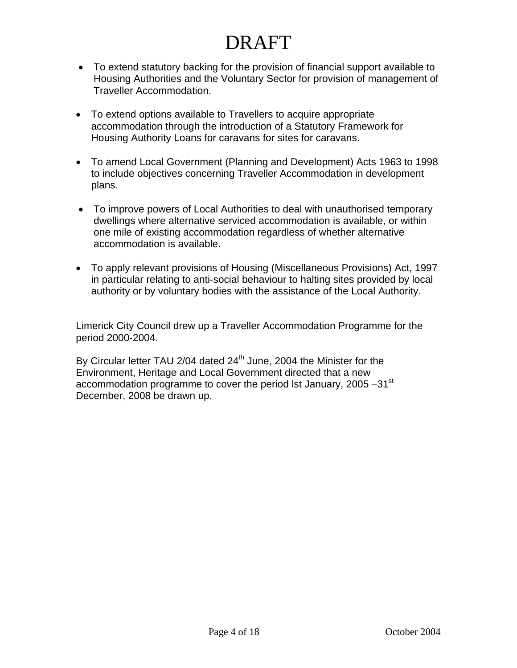- To extend statutory backing for the provision of financial support available to Housing Authorities and the Voluntary Sector for provision of management of Traveller Accommodation.
- To extend options available to Travellers to acquire appropriate accommodation through the introduction of a Statutory Framework for Housing Authority Loans for caravans for sites for caravans.
- To amend Local Government (Planning and Development) Acts 1963 to 1998 to include objectives concerning Traveller Accommodation in development plans.
- To improve powers of Local Authorities to deal with unauthorised temporary dwellings where alternative serviced accommodation is available, or within one mile of existing accommodation regardless of whether alternative accommodation is available.
- To apply relevant provisions of Housing (Miscellaneous Provisions) Act, 1997 in particular relating to anti-social behaviour to halting sites provided by local authority or by voluntary bodies with the assistance of the Local Authority.

Limerick City Council drew up a Traveller Accommodation Programme for the period 2000-2004.

By Circular letter TAU 2/04 dated 24<sup>th</sup> June, 2004 the Minister for the Environment, Heritage and Local Government directed that a new accommodation programme to cover the period lst January, 2005 -31<sup>st</sup> December, 2008 be drawn up.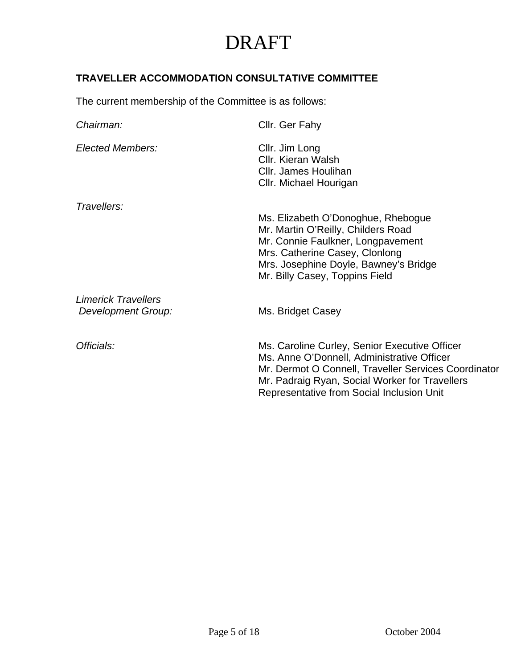### <span id="page-4-0"></span>**TRAVELLER ACCOMMODATION CONSULTATIVE COMMITTEE**

The current membership of the Committee is as follows:

| Chairman:                                               | Cllr. Ger Fahy                                                                                                                                                                                                                                     |
|---------------------------------------------------------|----------------------------------------------------------------------------------------------------------------------------------------------------------------------------------------------------------------------------------------------------|
| Elected Members:                                        | Cllr. Jim Long<br>Cllr. Kieran Walsh<br>Cllr. James Houlihan<br>Cllr. Michael Hourigan                                                                                                                                                             |
| Travellers:                                             | Ms. Elizabeth O'Donoghue, Rhebogue<br>Mr. Martin O'Reilly, Childers Road<br>Mr. Connie Faulkner, Longpavement<br>Mrs. Catherine Casey, Clonlong<br>Mrs. Josephine Doyle, Bawney's Bridge<br>Mr. Billy Casey, Toppins Field                         |
| <b>Limerick Travellers</b><br><b>Development Group:</b> | Ms. Bridget Casey                                                                                                                                                                                                                                  |
| Officials:                                              | Ms. Caroline Curley, Senior Executive Officer<br>Ms. Anne O'Donnell, Administrative Officer<br>Mr. Dermot O Connell, Traveller Services Coordinator<br>Mr. Padraig Ryan, Social Worker for Travellers<br>Representative from Social Inclusion Unit |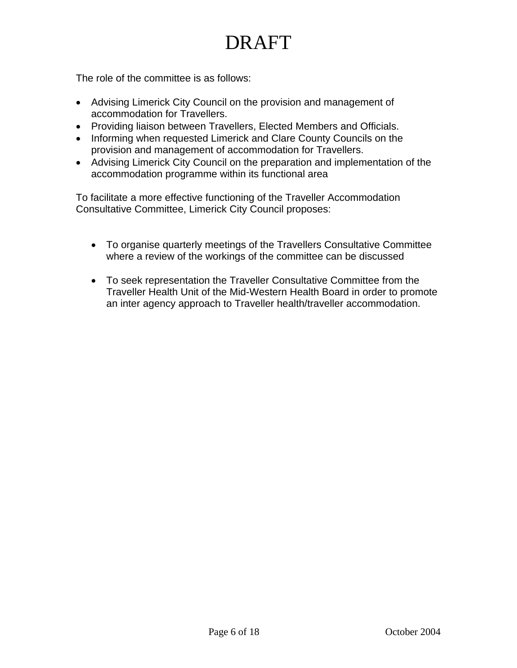The role of the committee is as follows:

- Advising Limerick City Council on the provision and management of accommodation for Travellers.
- Providing liaison between Travellers, Elected Members and Officials.
- Informing when requested Limerick and Clare County Councils on the provision and management of accommodation for Travellers.
- Advising Limerick City Council on the preparation and implementation of the accommodation programme within its functional area

To facilitate a more effective functioning of the Traveller Accommodation Consultative Committee, Limerick City Council proposes:

- To organise quarterly meetings of the Travellers Consultative Committee where a review of the workings of the committee can be discussed
- To seek representation the Traveller Consultative Committee from the Traveller Health Unit of the Mid-Western Health Board in order to promote an inter agency approach to Traveller health/traveller accommodation.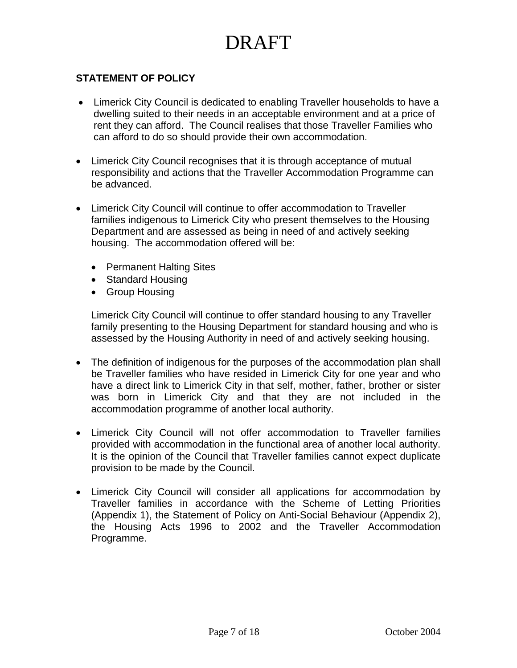### <span id="page-6-0"></span>**STATEMENT OF POLICY**

- Limerick City Council is dedicated to enabling Traveller households to have a dwelling suited to their needs in an acceptable environment and at a price of rent they can afford. The Council realises that those Traveller Families who can afford to do so should provide their own accommodation.
- Limerick City Council recognises that it is through acceptance of mutual responsibility and actions that the Traveller Accommodation Programme can be advanced.
- Limerick City Council will continue to offer accommodation to Traveller families indigenous to Limerick City who present themselves to the Housing Department and are assessed as being in need of and actively seeking housing. The accommodation offered will be:
	- Permanent Halting Sites
	- Standard Housing
	- Group Housing

Limerick City Council will continue to offer standard housing to any Traveller family presenting to the Housing Department for standard housing and who is assessed by the Housing Authority in need of and actively seeking housing.

- The definition of indigenous for the purposes of the accommodation plan shall be Traveller families who have resided in Limerick City for one year and who have a direct link to Limerick City in that self, mother, father, brother or sister was born in Limerick City and that they are not included in the accommodation programme of another local authority.
- Limerick City Council will not offer accommodation to Traveller families provided with accommodation in the functional area of another local authority. It is the opinion of the Council that Traveller families cannot expect duplicate provision to be made by the Council.
- Limerick City Council will consider all applications for accommodation by Traveller families in accordance with the Scheme of Letting Priorities (Appendix 1), the Statement of Policy on Anti-Social Behaviour (Appendix 2), the Housing Acts 1996 to 2002 and the Traveller Accommodation Programme.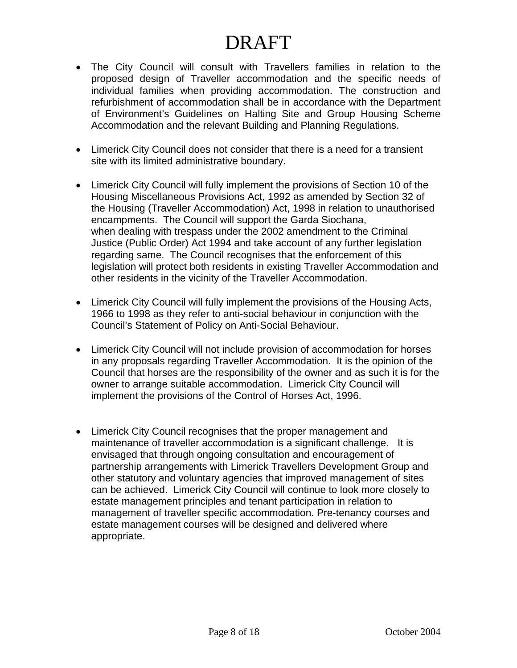- The City Council will consult with Travellers families in relation to the proposed design of Traveller accommodation and the specific needs of individual families when providing accommodation. The construction and refurbishment of accommodation shall be in accordance with the Department of Environment's Guidelines on Halting Site and Group Housing Scheme Accommodation and the relevant Building and Planning Regulations.
- Limerick City Council does not consider that there is a need for a transient site with its limited administrative boundary.
- Limerick City Council will fully implement the provisions of Section 10 of the Housing Miscellaneous Provisions Act, 1992 as amended by Section 32 of the Housing (Traveller Accommodation) Act, 1998 in relation to unauthorised encampments. The Council will support the Garda Siochana, when dealing with trespass under the 2002 amendment to the Criminal Justice (Public Order) Act 1994 and take account of any further legislation regarding same. The Council recognises that the enforcement of this legislation will protect both residents in existing Traveller Accommodation and other residents in the vicinity of the Traveller Accommodation.
- Limerick City Council will fully implement the provisions of the Housing Acts, 1966 to 1998 as they refer to anti-social behaviour in conjunction with the Council's Statement of Policy on Anti-Social Behaviour.
- Limerick City Council will not include provision of accommodation for horses in any proposals regarding Traveller Accommodation. It is the opinion of the Council that horses are the responsibility of the owner and as such it is for the owner to arrange suitable accommodation. Limerick City Council will implement the provisions of the Control of Horses Act, 1996.
- Limerick City Council recognises that the proper management and maintenance of traveller accommodation is a significant challenge. It is envisaged that through ongoing consultation and encouragement of partnership arrangements with Limerick Travellers Development Group and other statutory and voluntary agencies that improved management of sites can be achieved. Limerick City Council will continue to look more closely to estate management principles and tenant participation in relation to management of traveller specific accommodation. Pre-tenancy courses and estate management courses will be designed and delivered where appropriate.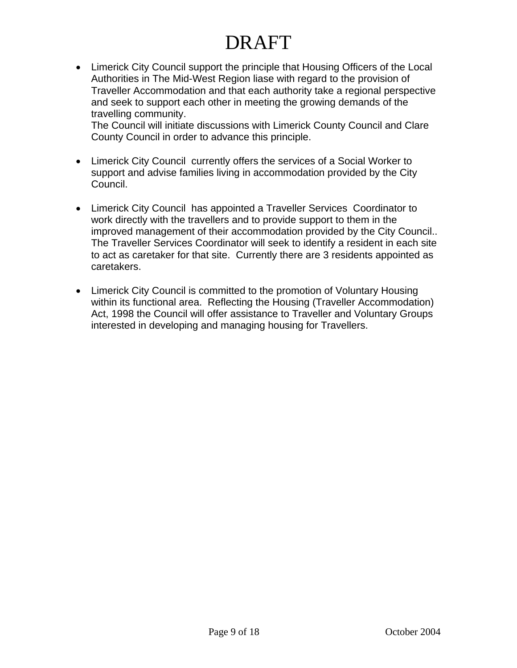• Limerick City Council support the principle that Housing Officers of the Local Authorities in The Mid-West Region liase with regard to the provision of Traveller Accommodation and that each authority take a regional perspective and seek to support each other in meeting the growing demands of the travelling community.

The Council will initiate discussions with Limerick County Council and Clare County Council in order to advance this principle.

- Limerick City Council currently offers the services of a Social Worker to support and advise families living in accommodation provided by the City Council.
- Limerick City Council has appointed a Traveller Services Coordinator to work directly with the travellers and to provide support to them in the improved management of their accommodation provided by the City Council.. The Traveller Services Coordinator will seek to identify a resident in each site to act as caretaker for that site. Currently there are 3 residents appointed as caretakers.
- Limerick City Council is committed to the promotion of Voluntary Housing within its functional area. Reflecting the Housing (Traveller Accommodation) Act, 1998 the Council will offer assistance to Traveller and Voluntary Groups interested in developing and managing housing for Travellers.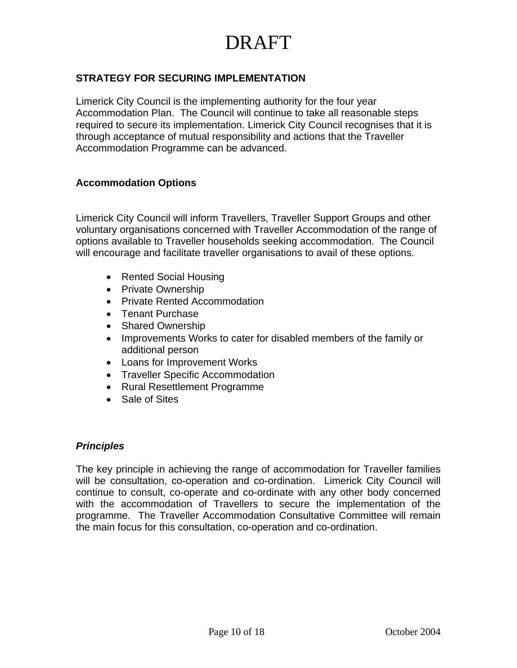### <span id="page-9-0"></span>**STRATEGY FOR SECURING IMPLEMENTATION**

Limerick City Council is the implementing authority for the four year Accommodation Plan. The Council will continue to take all reasonable steps required to secure its implementation. Limerick City Council recognises that it is through acceptance of mutual responsibility and actions that the Traveller Accommodation Programme can be advanced.

#### **Accommodation Options**

Limerick City Council will inform Travellers, Traveller Support Groups and other voluntary organisations concerned with Traveller Accommodation of the range of options available to Traveller households seeking accommodation. The Council will encourage and facilitate traveller organisations to avail of these options.

- Rented Social Housing
- Private Ownership
- Private Rented Accommodation
- Tenant Purchase
- Shared Ownership
- Improvements Works to cater for disabled members of the family or additional person
- Loans for Improvement Works
- Traveller Specific Accommodation
- Rural Resettlement Programme
- Sale of Sites

#### *Principles*

The key principle in achieving the range of accommodation for Traveller families will be consultation, co-operation and co-ordination. Limerick City Council will continue to consult, co-operate and co-ordinate with any other body concerned with the accommodation of Travellers to secure the implementation of the programme. The Traveller Accommodation Consultative Committee will remain the main focus for this consultation, co-operation and co-ordination.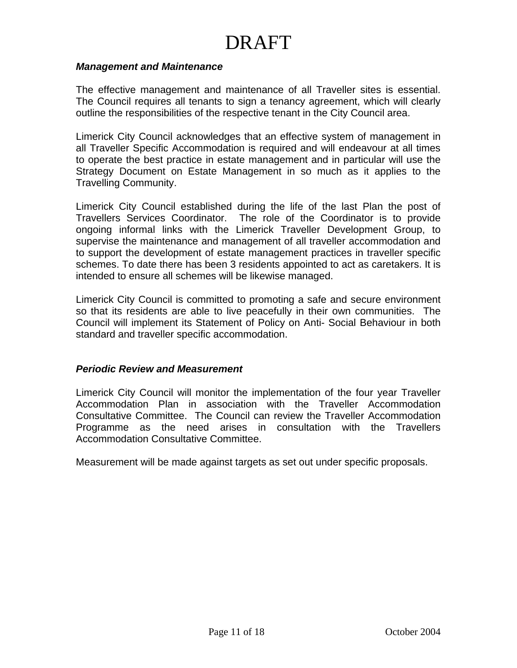#### *Management and Maintenance*

The effective management and maintenance of all Traveller sites is essential. The Council requires all tenants to sign a tenancy agreement, which will clearly outline the responsibilities of the respective tenant in the City Council area.

Limerick City Council acknowledges that an effective system of management in all Traveller Specific Accommodation is required and will endeavour at all times to operate the best practice in estate management and in particular will use the Strategy Document on Estate Management in so much as it applies to the Travelling Community.

Limerick City Council established during the life of the last Plan the post of Travellers Services Coordinator. The role of the Coordinator is to provide ongoing informal links with the Limerick Traveller Development Group, to supervise the maintenance and management of all traveller accommodation and to support the development of estate management practices in traveller specific schemes. To date there has been 3 residents appointed to act as caretakers. It is intended to ensure all schemes will be likewise managed.

Limerick City Council is committed to promoting a safe and secure environment so that its residents are able to live peacefully in their own communities. The Council will implement its Statement of Policy on Anti- Social Behaviour in both standard and traveller specific accommodation.

#### *Periodic Review and Measurement*

Limerick City Council will monitor the implementation of the four year Traveller Accommodation Plan in association with the Traveller Accommodation Consultative Committee. The Council can review the Traveller Accommodation Programme as the need arises in consultation with the Travellers Accommodation Consultative Committee.

Measurement will be made against targets as set out under specific proposals.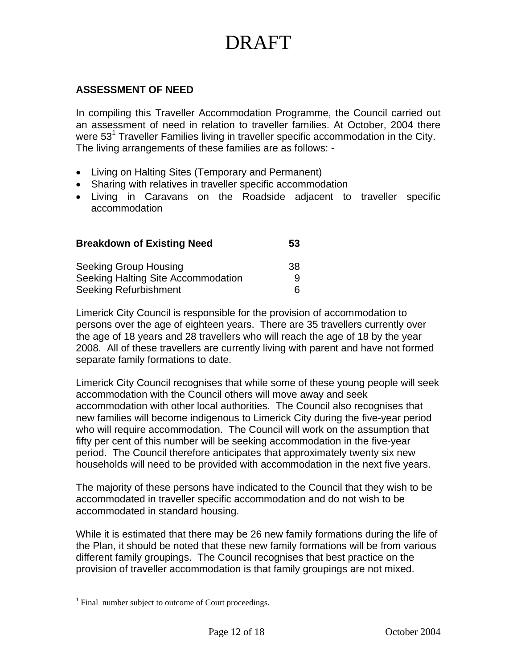### <span id="page-11-0"></span>**ASSESSMENT OF NEED**

In compiling this Traveller Accommodation Programme, the Council carried out an assessment of need in relation to traveller families. At October, 2004 there were 53<sup>[1](#page-11-1)</sup> Traveller Families living in traveller specific accommodation in the City. The living arrangements of these families are as follows: -

- Living on Halting Sites (Temporary and Permanent)
- Sharing with relatives in traveller specific accommodation
- Living in Caravans on the Roadside adjacent to traveller specific accommodation

| <b>Breakdown of Existing Need</b>                                  | 53     |  |
|--------------------------------------------------------------------|--------|--|
| <b>Seeking Group Housing</b>                                       | 38     |  |
| Seeking Halting Site Accommodation<br><b>Seeking Refurbishment</b> | q<br>6 |  |

Limerick City Council is responsible for the provision of accommodation to persons over the age of eighteen years. There are 35 travellers currently over the age of 18 years and 28 travellers who will reach the age of 18 by the year 2008. All of these travellers are currently living with parent and have not formed separate family formations to date.

Limerick City Council recognises that while some of these young people will seek accommodation with the Council others will move away and seek accommodation with other local authorities. The Council also recognises that new families will become indigenous to Limerick City during the five-year period who will require accommodation. The Council will work on the assumption that fifty per cent of this number will be seeking accommodation in the five-year period. The Council therefore anticipates that approximately twenty six new households will need to be provided with accommodation in the next five years.

The majority of these persons have indicated to the Council that they wish to be accommodated in traveller specific accommodation and do not wish to be accommodated in standard housing.

While it is estimated that there may be 26 new family formations during the life of the Plan, it should be noted that these new family formations will be from various different family groupings. The Council recognises that best practice on the provision of traveller accommodation is that family groupings are not mixed.

<u>.</u>

<span id="page-11-1"></span><sup>&</sup>lt;sup>1</sup> Final number subject to outcome of Court proceedings.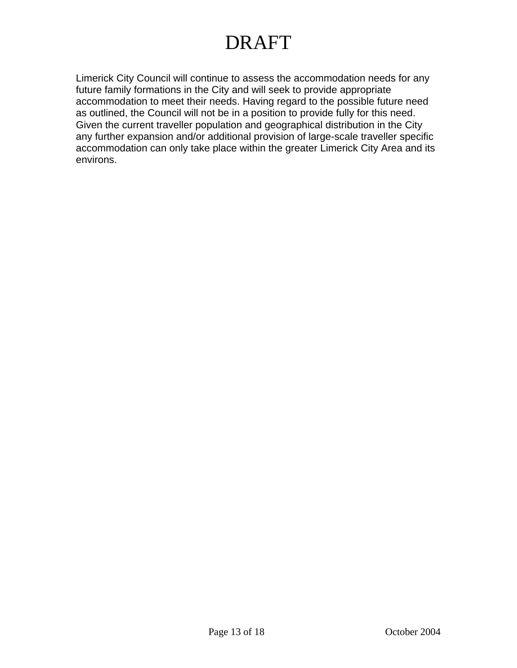Limerick City Council will continue to assess the accommodation needs for any future family formations in the City and will seek to provide appropriate accommodation to meet their needs. Having regard to the possible future need as outlined, the Council will not be in a position to provide fully for this need. Given the current traveller population and geographical distribution in the City any further expansion and/or additional provision of large-scale traveller specific accommodation can only take place within the greater Limerick City Area and its environs.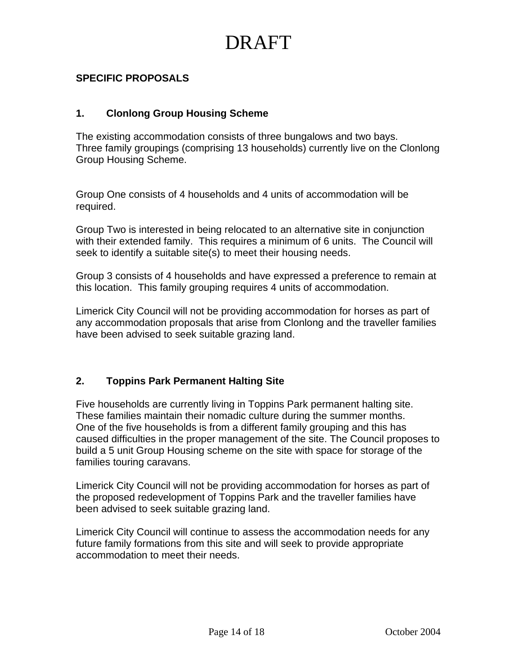### <span id="page-13-0"></span>**SPECIFIC PROPOSALS**

#### **1. Clonlong Group Housing Scheme**

The existing accommodation consists of three bungalows and two bays. Three family groupings (comprising 13 households) currently live on the Clonlong Group Housing Scheme.

Group One consists of 4 households and 4 units of accommodation will be required.

Group Two is interested in being relocated to an alternative site in conjunction with their extended family. This requires a minimum of 6 units. The Council will seek to identify a suitable site(s) to meet their housing needs.

Group 3 consists of 4 households and have expressed a preference to remain at this location. This family grouping requires 4 units of accommodation.

Limerick City Council will not be providing accommodation for horses as part of any accommodation proposals that arise from Clonlong and the traveller families have been advised to seek suitable grazing land.

### **2. Toppins Park Permanent Halting Site**

Five households are currently living in Toppins Park permanent halting site. These families maintain their nomadic culture during the summer months. One of the five households is from a different family grouping and this has caused difficulties in the proper management of the site. The Council proposes to build a 5 unit Group Housing scheme on the site with space for storage of the families touring caravans.

Limerick City Council will not be providing accommodation for horses as part of the proposed redevelopment of Toppins Park and the traveller families have been advised to seek suitable grazing land.

Limerick City Council will continue to assess the accommodation needs for any future family formations from this site and will seek to provide appropriate accommodation to meet their needs.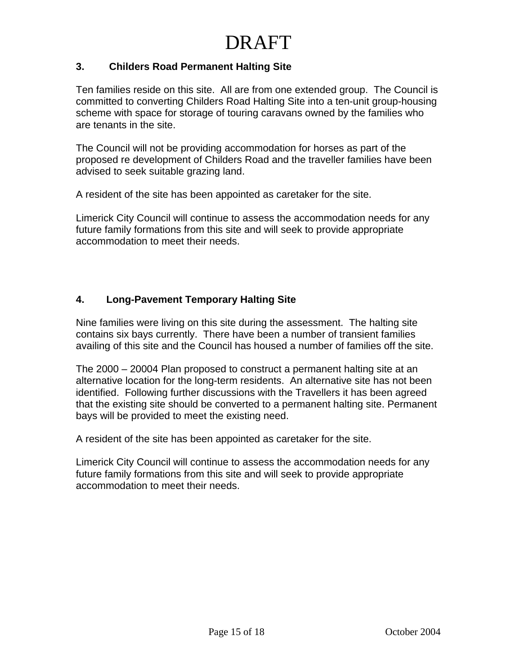### **3. Childers Road Permanent Halting Site**

Ten families reside on this site. All are from one extended group. The Council is committed to converting Childers Road Halting Site into a ten-unit group-housing scheme with space for storage of touring caravans owned by the families who are tenants in the site.

The Council will not be providing accommodation for horses as part of the proposed re development of Childers Road and the traveller families have been advised to seek suitable grazing land.

A resident of the site has been appointed as caretaker for the site.

Limerick City Council will continue to assess the accommodation needs for any future family formations from this site and will seek to provide appropriate accommodation to meet their needs.

#### **4. Long-Pavement Temporary Halting Site**

Nine families were living on this site during the assessment. The halting site contains six bays currently. There have been a number of transient families availing of this site and the Council has housed a number of families off the site.

The 2000 – 20004 Plan proposed to construct a permanent halting site at an alternative location for the long-term residents. An alternative site has not been identified. Following further discussions with the Travellers it has been agreed that the existing site should be converted to a permanent halting site. Permanent bays will be provided to meet the existing need.

A resident of the site has been appointed as caretaker for the site.

Limerick City Council will continue to assess the accommodation needs for any future family formations from this site and will seek to provide appropriate accommodation to meet their needs.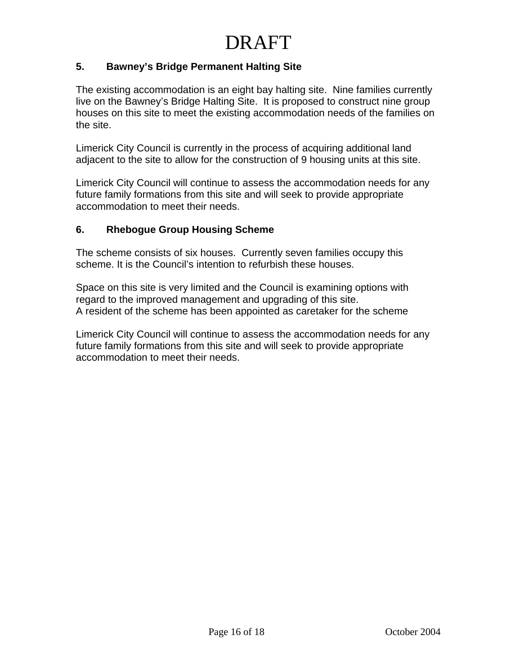### **5. Bawney's Bridge Permanent Halting Site**

The existing accommodation is an eight bay halting site. Nine families currently live on the Bawney's Bridge Halting Site. It is proposed to construct nine group houses on this site to meet the existing accommodation needs of the families on the site.

Limerick City Council is currently in the process of acquiring additional land adjacent to the site to allow for the construction of 9 housing units at this site.

Limerick City Council will continue to assess the accommodation needs for any future family formations from this site and will seek to provide appropriate accommodation to meet their needs.

### **6. Rhebogue Group Housing Scheme**

The scheme consists of six houses. Currently seven families occupy this scheme. It is the Council's intention to refurbish these houses.

Space on this site is very limited and the Council is examining options with regard to the improved management and upgrading of this site. A resident of the scheme has been appointed as caretaker for the scheme

Limerick City Council will continue to assess the accommodation needs for any future family formations from this site and will seek to provide appropriate accommodation to meet their needs.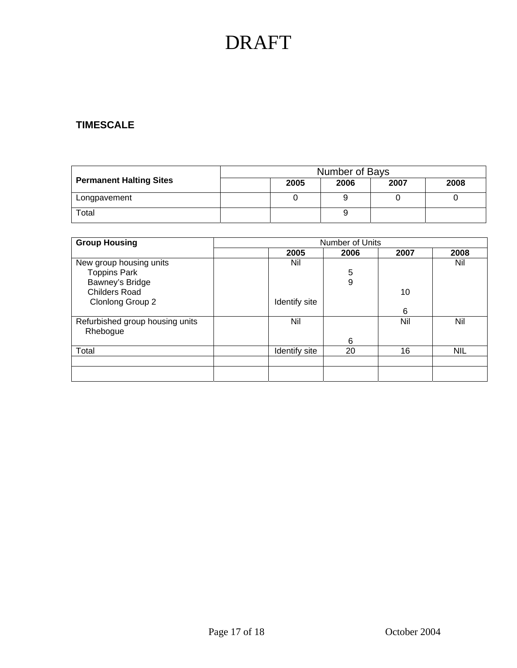### **TIMESCALE**

|                                | Number of Bays |      |      |      |      |
|--------------------------------|----------------|------|------|------|------|
| <b>Permanent Halting Sites</b> |                | 2005 | 2006 | 2007 | 2008 |
| Longpavement                   |                |      |      |      |      |
| Total                          |                |      |      |      |      |

| <b>Group Housing</b>            | <b>Number of Units</b> |      |      |            |
|---------------------------------|------------------------|------|------|------------|
|                                 | 2005                   | 2006 | 2007 | 2008       |
| New group housing units         | Nil                    |      |      | Nil        |
| <b>Toppins Park</b>             |                        | 5    |      |            |
| Bawney's Bridge                 |                        | 9    |      |            |
| <b>Childers Road</b>            |                        |      | 10   |            |
| Clonlong Group 2                | Identify site          |      |      |            |
|                                 |                        |      | 6    |            |
| Refurbished group housing units | Nil                    |      | Nil  | Nil        |
| Rhebogue                        |                        |      |      |            |
|                                 |                        | 6    |      |            |
| Total                           | Identify site          | 20   | 16   | <b>NIL</b> |
|                                 |                        |      |      |            |
|                                 |                        |      |      |            |